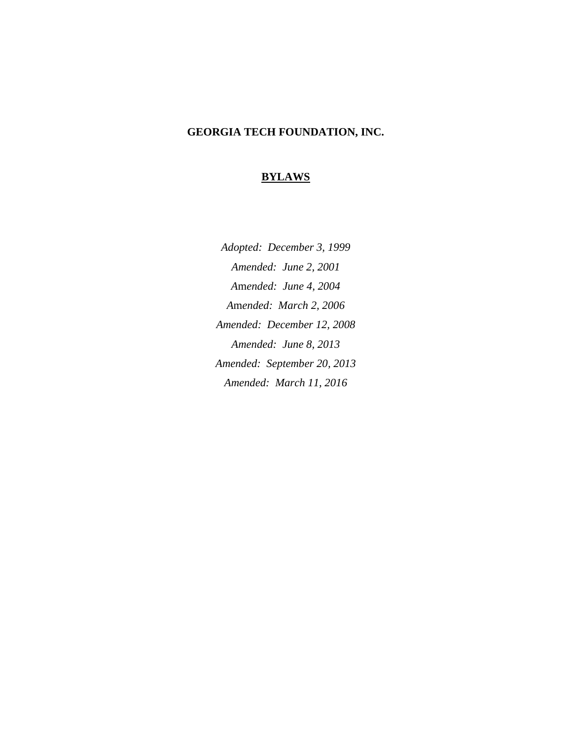# **GEORGIA TECH FOUNDATION, INC.**

# **BYLAWS**

*Adopted: December 3, 1999 Amended: June 2, 2001 A*m*ended: June 4, 2004 A*m*ended: March 2, 2006 Amended: December 12, 2008 Amended: June 8, 2013 Amended: September 20, 2013 Amended: March 11, 2016*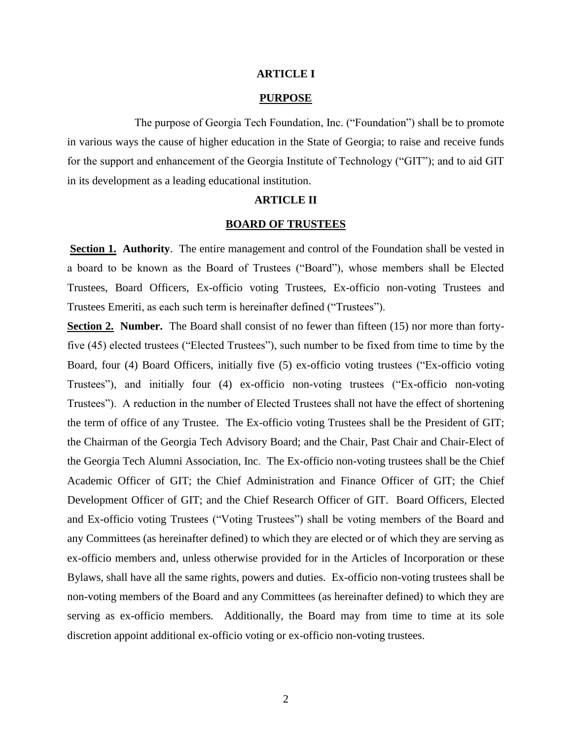# **ARTICLE I**

## **PURPOSE**

The purpose of Georgia Tech Foundation, Inc. ("Foundation") shall be to promote in various ways the cause of higher education in the State of Georgia; to raise and receive funds for the support and enhancement of the Georgia Institute of Technology ("GIT"); and to aid GIT in its development as a leading educational institution.

# **ARTICLE II**

# **BOARD OF TRUSTEES**

**Section 1. Authority**. The entire management and control of the Foundation shall be vested in a board to be known as the Board of Trustees ("Board"), whose members shall be Elected Trustees, Board Officers, Ex-officio voting Trustees, Ex-officio non-voting Trustees and Trustees Emeriti, as each such term is hereinafter defined ("Trustees").

**Section 2. Number.** The Board shall consist of no fewer than fifteen (15) nor more than fortyfive (45) elected trustees ("Elected Trustees"), such number to be fixed from time to time by the Board, four (4) Board Officers, initially five (5) ex-officio voting trustees ("Ex-officio voting Trustees"), and initially four (4) ex-officio non-voting trustees ("Ex-officio non-voting Trustees"). A reduction in the number of Elected Trustees shall not have the effect of shortening the term of office of any Trustee. The Ex-officio voting Trustees shall be the President of GIT; the Chairman of the Georgia Tech Advisory Board; and the Chair, Past Chair and Chair-Elect of the Georgia Tech Alumni Association, Inc. The Ex-officio non-voting trustees shall be the Chief Academic Officer of GIT; the Chief Administration and Finance Officer of GIT; the Chief Development Officer of GIT; and the Chief Research Officer of GIT. Board Officers, Elected and Ex-officio voting Trustees ("Voting Trustees") shall be voting members of the Board and any Committees (as hereinafter defined) to which they are elected or of which they are serving as ex-officio members and, unless otherwise provided for in the Articles of Incorporation or these Bylaws, shall have all the same rights, powers and duties. Ex-officio non-voting trustees shall be non-voting members of the Board and any Committees (as hereinafter defined) to which they are serving as ex-officio members. Additionally, the Board may from time to time at its sole discretion appoint additional ex-officio voting or ex-officio non-voting trustees.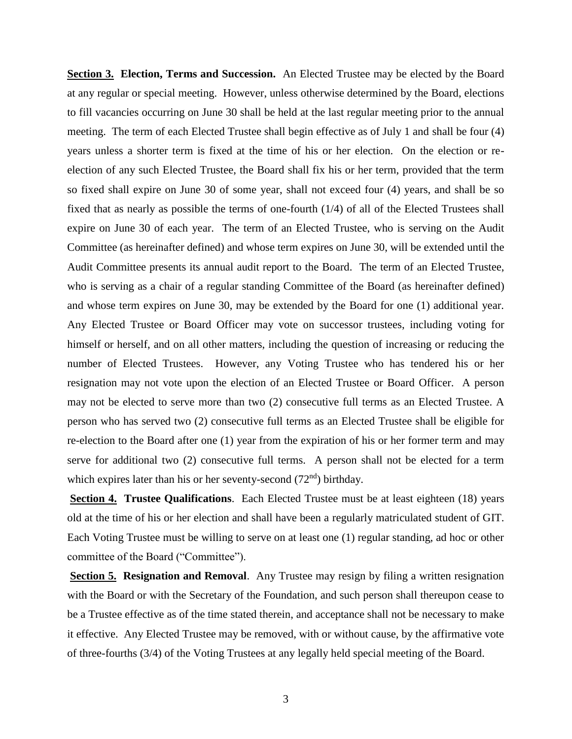**Section 3. Election, Terms and Succession.** An Elected Trustee may be elected by the Board at any regular or special meeting. However, unless otherwise determined by the Board, elections to fill vacancies occurring on June 30 shall be held at the last regular meeting prior to the annual meeting. The term of each Elected Trustee shall begin effective as of July 1 and shall be four (4) years unless a shorter term is fixed at the time of his or her election. On the election or reelection of any such Elected Trustee, the Board shall fix his or her term, provided that the term so fixed shall expire on June 30 of some year, shall not exceed four (4) years, and shall be so fixed that as nearly as possible the terms of one-fourth (1/4) of all of the Elected Trustees shall expire on June 30 of each year. The term of an Elected Trustee, who is serving on the Audit Committee (as hereinafter defined) and whose term expires on June 30, will be extended until the Audit Committee presents its annual audit report to the Board. The term of an Elected Trustee, who is serving as a chair of a regular standing Committee of the Board (as hereinafter defined) and whose term expires on June 30, may be extended by the Board for one (1) additional year. Any Elected Trustee or Board Officer may vote on successor trustees, including voting for himself or herself, and on all other matters, including the question of increasing or reducing the number of Elected Trustees. However, any Voting Trustee who has tendered his or her resignation may not vote upon the election of an Elected Trustee or Board Officer. A person may not be elected to serve more than two (2) consecutive full terms as an Elected Trustee. A person who has served two (2) consecutive full terms as an Elected Trustee shall be eligible for re-election to the Board after one (1) year from the expiration of his or her former term and may serve for additional two (2) consecutive full terms. A person shall not be elected for a term which expires later than his or her seventy-second (72<sup>nd</sup>) birthday.

**Section 4. Trustee Qualifications.** Each Elected Trustee must be at least eighteen (18) years old at the time of his or her election and shall have been a regularly matriculated student of GIT. Each Voting Trustee must be willing to serve on at least one (1) regular standing, ad hoc or other committee of the Board ("Committee").

**Section 5. Resignation and Removal.** Any Trustee may resign by filing a written resignation with the Board or with the Secretary of the Foundation, and such person shall thereupon cease to be a Trustee effective as of the time stated therein, and acceptance shall not be necessary to make it effective. Any Elected Trustee may be removed, with or without cause, by the affirmative vote of three-fourths (3/4) of the Voting Trustees at any legally held special meeting of the Board.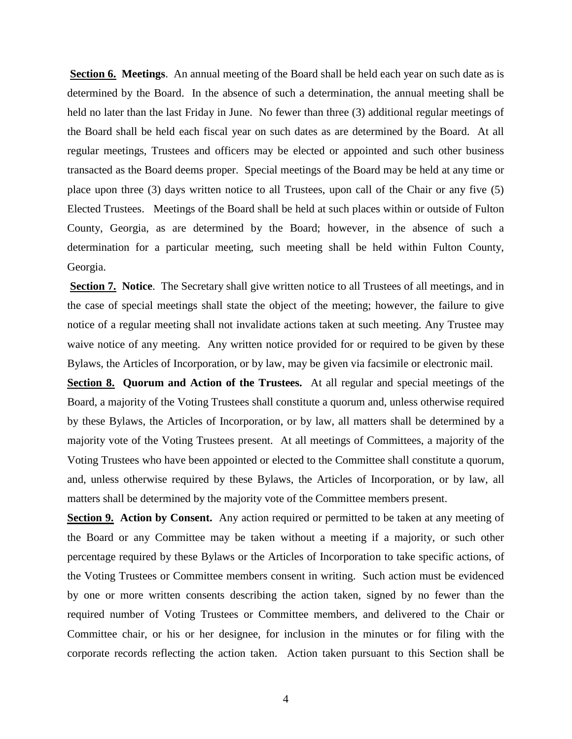**Section 6. Meetings**. An annual meeting of the Board shall be held each year on such date as is determined by the Board. In the absence of such a determination, the annual meeting shall be held no later than the last Friday in June. No fewer than three (3) additional regular meetings of the Board shall be held each fiscal year on such dates as are determined by the Board. At all regular meetings, Trustees and officers may be elected or appointed and such other business transacted as the Board deems proper. Special meetings of the Board may be held at any time or place upon three (3) days written notice to all Trustees, upon call of the Chair or any five (5) Elected Trustees. Meetings of the Board shall be held at such places within or outside of Fulton County, Georgia, as are determined by the Board; however, in the absence of such a determination for a particular meeting, such meeting shall be held within Fulton County, Georgia.

**Section 7. Notice**. The Secretary shall give written notice to all Trustees of all meetings, and in the case of special meetings shall state the object of the meeting; however, the failure to give notice of a regular meeting shall not invalidate actions taken at such meeting. Any Trustee may waive notice of any meeting. Any written notice provided for or required to be given by these Bylaws, the Articles of Incorporation, or by law, may be given via facsimile or electronic mail.

**Section 8. Quorum and Action of the Trustees.** At all regular and special meetings of the Board, a majority of the Voting Trustees shall constitute a quorum and, unless otherwise required by these Bylaws, the Articles of Incorporation, or by law, all matters shall be determined by a majority vote of the Voting Trustees present. At all meetings of Committees, a majority of the Voting Trustees who have been appointed or elected to the Committee shall constitute a quorum, and, unless otherwise required by these Bylaws, the Articles of Incorporation, or by law, all matters shall be determined by the majority vote of the Committee members present.

**Section 9.** Action by Consent. Any action required or permitted to be taken at any meeting of the Board or any Committee may be taken without a meeting if a majority, or such other percentage required by these Bylaws or the Articles of Incorporation to take specific actions, of the Voting Trustees or Committee members consent in writing. Such action must be evidenced by one or more written consents describing the action taken, signed by no fewer than the required number of Voting Trustees or Committee members, and delivered to the Chair or Committee chair, or his or her designee, for inclusion in the minutes or for filing with the corporate records reflecting the action taken. Action taken pursuant to this Section shall be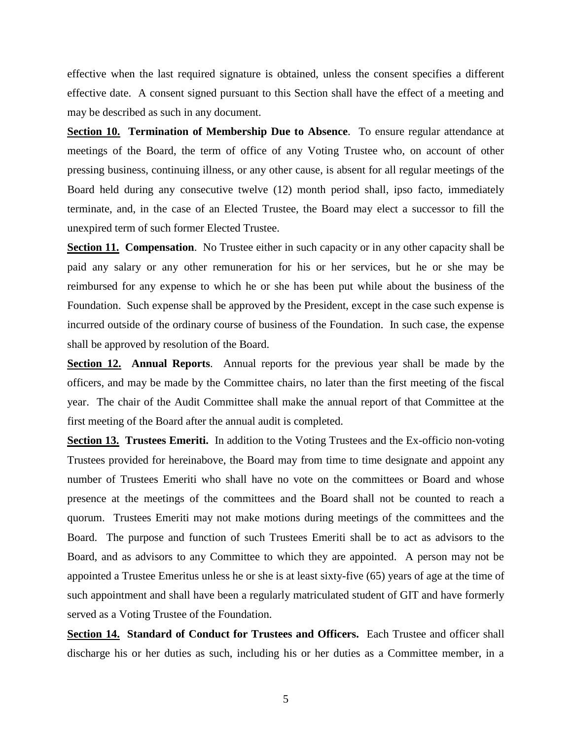effective when the last required signature is obtained, unless the consent specifies a different effective date. A consent signed pursuant to this Section shall have the effect of a meeting and may be described as such in any document.

**Section 10. Termination of Membership Due to Absence**. To ensure regular attendance at meetings of the Board, the term of office of any Voting Trustee who, on account of other pressing business, continuing illness, or any other cause, is absent for all regular meetings of the Board held during any consecutive twelve (12) month period shall, ipso facto, immediately terminate, and, in the case of an Elected Trustee, the Board may elect a successor to fill the unexpired term of such former Elected Trustee.

**Section 11. Compensation.** No Trustee either in such capacity or in any other capacity shall be paid any salary or any other remuneration for his or her services, but he or she may be reimbursed for any expense to which he or she has been put while about the business of the Foundation. Such expense shall be approved by the President, except in the case such expense is incurred outside of the ordinary course of business of the Foundation. In such case, the expense shall be approved by resolution of the Board.

**Section 12. Annual Reports**. Annual reports for the previous year shall be made by the officers, and may be made by the Committee chairs, no later than the first meeting of the fiscal year. The chair of the Audit Committee shall make the annual report of that Committee at the first meeting of the Board after the annual audit is completed.

**Section 13. Trustees Emeriti.** In addition to the Voting Trustees and the Ex-officio non-voting Trustees provided for hereinabove, the Board may from time to time designate and appoint any number of Trustees Emeriti who shall have no vote on the committees or Board and whose presence at the meetings of the committees and the Board shall not be counted to reach a quorum. Trustees Emeriti may not make motions during meetings of the committees and the Board. The purpose and function of such Trustees Emeriti shall be to act as advisors to the Board, and as advisors to any Committee to which they are appointed. A person may not be appointed a Trustee Emeritus unless he or she is at least sixty-five (65) years of age at the time of such appointment and shall have been a regularly matriculated student of GIT and have formerly served as a Voting Trustee of the Foundation.

**Section 14. Standard of Conduct for Trustees and Officers.** Each Trustee and officer shall discharge his or her duties as such, including his or her duties as a Committee member, in a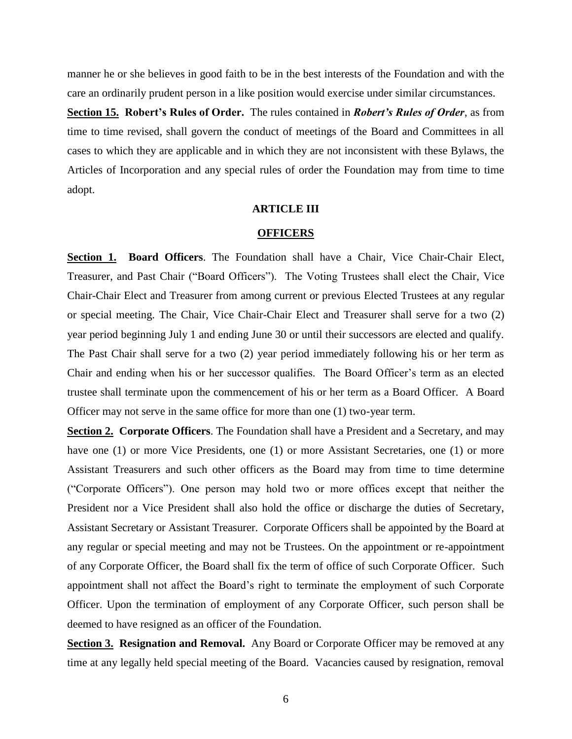manner he or she believes in good faith to be in the best interests of the Foundation and with the care an ordinarily prudent person in a like position would exercise under similar circumstances.

**Section 15. Robert's Rules of Order.** The rules contained in *Robert's Rules of Order*, as from time to time revised, shall govern the conduct of meetings of the Board and Committees in all cases to which they are applicable and in which they are not inconsistent with these Bylaws, the Articles of Incorporation and any special rules of order the Foundation may from time to time adopt.

# **ARTICLE III**

#### **OFFICERS**

**Section 1. Board Officers**. The Foundation shall have a Chair, Vice Chair-Chair Elect, Treasurer, and Past Chair ("Board Officers"). The Voting Trustees shall elect the Chair, Vice Chair-Chair Elect and Treasurer from among current or previous Elected Trustees at any regular or special meeting. The Chair, Vice Chair-Chair Elect and Treasurer shall serve for a two (2) year period beginning July 1 and ending June 30 or until their successors are elected and qualify. The Past Chair shall serve for a two (2) year period immediately following his or her term as Chair and ending when his or her successor qualifies. The Board Officer's term as an elected trustee shall terminate upon the commencement of his or her term as a Board Officer. A Board Officer may not serve in the same office for more than one (1) two-year term.

**Section 2. Corporate Officers**. The Foundation shall have a President and a Secretary, and may have one (1) or more Vice Presidents, one (1) or more Assistant Secretaries, one (1) or more Assistant Treasurers and such other officers as the Board may from time to time determine ("Corporate Officers"). One person may hold two or more offices except that neither the President nor a Vice President shall also hold the office or discharge the duties of Secretary, Assistant Secretary or Assistant Treasurer. Corporate Officers shall be appointed by the Board at any regular or special meeting and may not be Trustees. On the appointment or re-appointment of any Corporate Officer, the Board shall fix the term of office of such Corporate Officer. Such appointment shall not affect the Board's right to terminate the employment of such Corporate Officer. Upon the termination of employment of any Corporate Officer, such person shall be deemed to have resigned as an officer of the Foundation.

**Section 3. Resignation and Removal.** Any Board or Corporate Officer may be removed at any time at any legally held special meeting of the Board. Vacancies caused by resignation, removal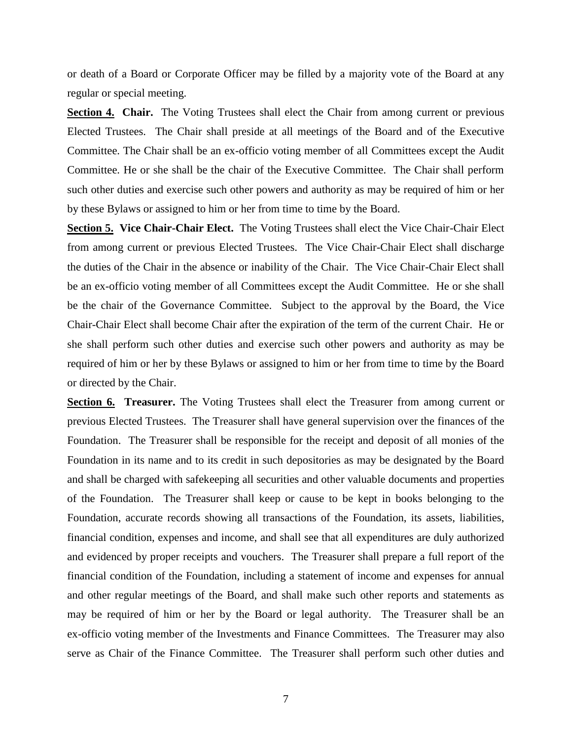or death of a Board or Corporate Officer may be filled by a majority vote of the Board at any regular or special meeting.

**Section 4. Chair.** The Voting Trustees shall elect the Chair from among current or previous Elected Trustees. The Chair shall preside at all meetings of the Board and of the Executive Committee. The Chair shall be an ex-officio voting member of all Committees except the Audit Committee. He or she shall be the chair of the Executive Committee. The Chair shall perform such other duties and exercise such other powers and authority as may be required of him or her by these Bylaws or assigned to him or her from time to time by the Board.

**Section 5. Vice Chair-Chair Elect.** The Voting Trustees shall elect the Vice Chair-Chair Elect from among current or previous Elected Trustees. The Vice Chair-Chair Elect shall discharge the duties of the Chair in the absence or inability of the Chair. The Vice Chair-Chair Elect shall be an ex-officio voting member of all Committees except the Audit Committee. He or she shall be the chair of the Governance Committee. Subject to the approval by the Board, the Vice Chair-Chair Elect shall become Chair after the expiration of the term of the current Chair. He or she shall perform such other duties and exercise such other powers and authority as may be required of him or her by these Bylaws or assigned to him or her from time to time by the Board or directed by the Chair.

**Section 6. Treasurer.** The Voting Trustees shall elect the Treasurer from among current or previous Elected Trustees. The Treasurer shall have general supervision over the finances of the Foundation. The Treasurer shall be responsible for the receipt and deposit of all monies of the Foundation in its name and to its credit in such depositories as may be designated by the Board and shall be charged with safekeeping all securities and other valuable documents and properties of the Foundation. The Treasurer shall keep or cause to be kept in books belonging to the Foundation, accurate records showing all transactions of the Foundation, its assets, liabilities, financial condition, expenses and income, and shall see that all expenditures are duly authorized and evidenced by proper receipts and vouchers. The Treasurer shall prepare a full report of the financial condition of the Foundation, including a statement of income and expenses for annual and other regular meetings of the Board, and shall make such other reports and statements as may be required of him or her by the Board or legal authority. The Treasurer shall be an ex-officio voting member of the Investments and Finance Committees. The Treasurer may also serve as Chair of the Finance Committee. The Treasurer shall perform such other duties and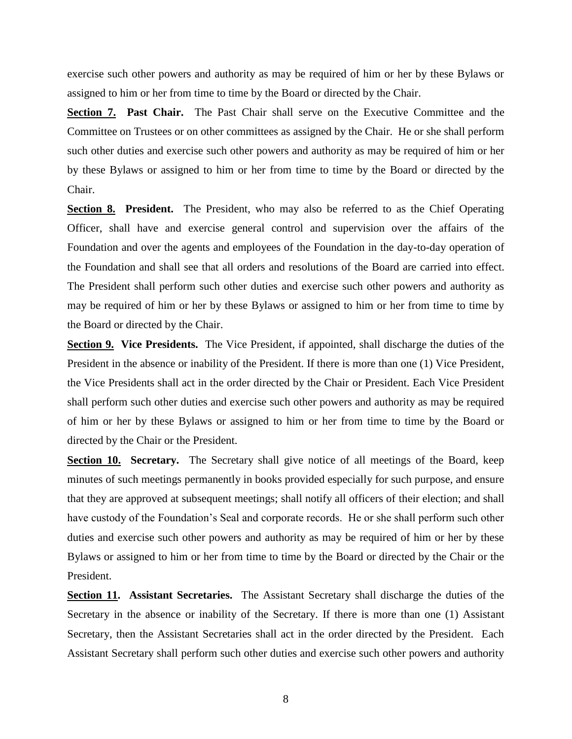exercise such other powers and authority as may be required of him or her by these Bylaws or assigned to him or her from time to time by the Board or directed by the Chair.

Section 7. Past Chair. The Past Chair shall serve on the Executive Committee and the Committee on Trustees or on other committees as assigned by the Chair. He or she shall perform such other duties and exercise such other powers and authority as may be required of him or her by these Bylaws or assigned to him or her from time to time by the Board or directed by the Chair.

**Section 8. President.** The President, who may also be referred to as the Chief Operating Officer, shall have and exercise general control and supervision over the affairs of the Foundation and over the agents and employees of the Foundation in the day-to-day operation of the Foundation and shall see that all orders and resolutions of the Board are carried into effect. The President shall perform such other duties and exercise such other powers and authority as may be required of him or her by these Bylaws or assigned to him or her from time to time by the Board or directed by the Chair.

**Section 9. Vice Presidents.** The Vice President, if appointed, shall discharge the duties of the President in the absence or inability of the President. If there is more than one (1) Vice President, the Vice Presidents shall act in the order directed by the Chair or President. Each Vice President shall perform such other duties and exercise such other powers and authority as may be required of him or her by these Bylaws or assigned to him or her from time to time by the Board or directed by the Chair or the President.

**Section 10.** Secretary. The Secretary shall give notice of all meetings of the Board, keep minutes of such meetings permanently in books provided especially for such purpose, and ensure that they are approved at subsequent meetings; shall notify all officers of their election; and shall have custody of the Foundation's Seal and corporate records. He or she shall perform such other duties and exercise such other powers and authority as may be required of him or her by these Bylaws or assigned to him or her from time to time by the Board or directed by the Chair or the President.

**Section 11. Assistant Secretaries.** The Assistant Secretary shall discharge the duties of the Secretary in the absence or inability of the Secretary. If there is more than one (1) Assistant Secretary, then the Assistant Secretaries shall act in the order directed by the President. Each Assistant Secretary shall perform such other duties and exercise such other powers and authority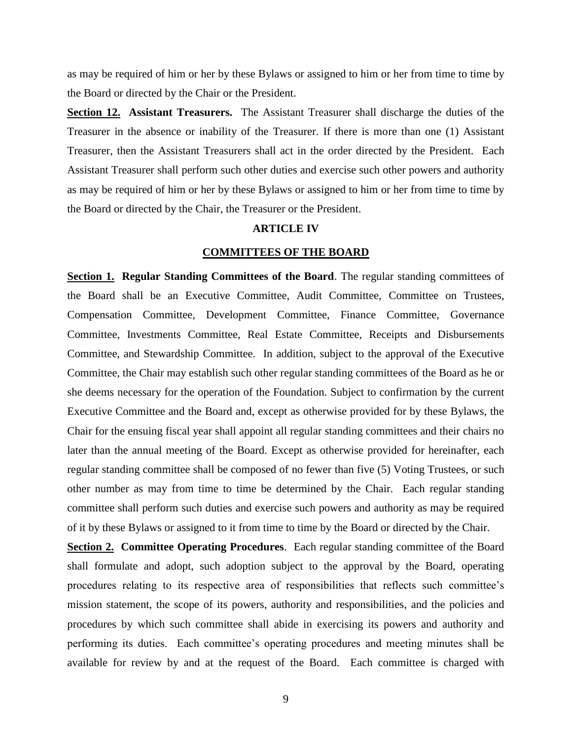as may be required of him or her by these Bylaws or assigned to him or her from time to time by the Board or directed by the Chair or the President.

**Section 12. Assistant Treasurers.** The Assistant Treasurer shall discharge the duties of the Treasurer in the absence or inability of the Treasurer. If there is more than one (1) Assistant Treasurer, then the Assistant Treasurers shall act in the order directed by the President. Each Assistant Treasurer shall perform such other duties and exercise such other powers and authority as may be required of him or her by these Bylaws or assigned to him or her from time to time by the Board or directed by the Chair, the Treasurer or the President.

## **ARTICLE IV**

# **COMMITTEES OF THE BOARD**

**Section 1. Regular Standing Committees of the Board.** The regular standing committees of the Board shall be an Executive Committee, Audit Committee, Committee on Trustees, Compensation Committee, Development Committee, Finance Committee, Governance Committee, Investments Committee, Real Estate Committee, Receipts and Disbursements Committee, and Stewardship Committee. In addition, subject to the approval of the Executive Committee, the Chair may establish such other regular standing committees of the Board as he or she deems necessary for the operation of the Foundation. Subject to confirmation by the current Executive Committee and the Board and, except as otherwise provided for by these Bylaws, the Chair for the ensuing fiscal year shall appoint all regular standing committees and their chairs no later than the annual meeting of the Board. Except as otherwise provided for hereinafter, each regular standing committee shall be composed of no fewer than five (5) Voting Trustees, or such other number as may from time to time be determined by the Chair. Each regular standing committee shall perform such duties and exercise such powers and authority as may be required of it by these Bylaws or assigned to it from time to time by the Board or directed by the Chair.

**Section 2. Committee Operating Procedures.** Each regular standing committee of the Board shall formulate and adopt, such adoption subject to the approval by the Board, operating procedures relating to its respective area of responsibilities that reflects such committee's mission statement, the scope of its powers, authority and responsibilities, and the policies and procedures by which such committee shall abide in exercising its powers and authority and performing its duties. Each committee's operating procedures and meeting minutes shall be available for review by and at the request of the Board. Each committee is charged with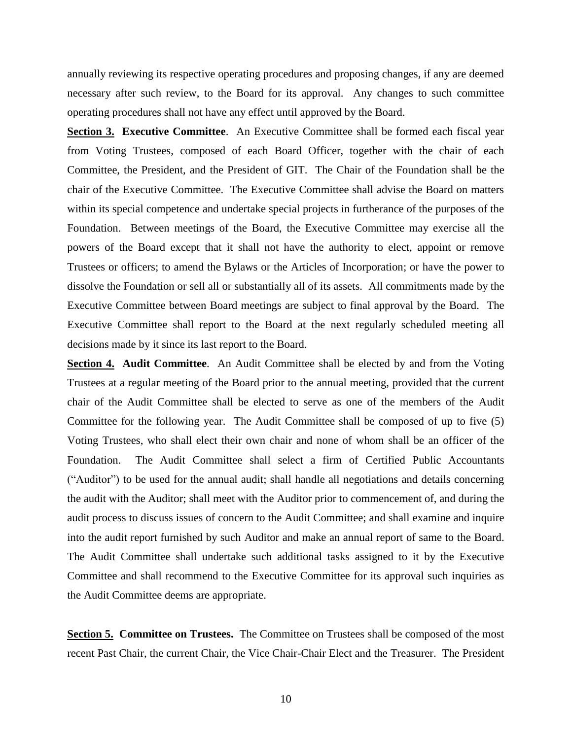annually reviewing its respective operating procedures and proposing changes, if any are deemed necessary after such review, to the Board for its approval. Any changes to such committee operating procedures shall not have any effect until approved by the Board.

**Section 3. Executive Committee**. An Executive Committee shall be formed each fiscal year from Voting Trustees, composed of each Board Officer, together with the chair of each Committee, the President, and the President of GIT. The Chair of the Foundation shall be the chair of the Executive Committee. The Executive Committee shall advise the Board on matters within its special competence and undertake special projects in furtherance of the purposes of the Foundation. Between meetings of the Board, the Executive Committee may exercise all the powers of the Board except that it shall not have the authority to elect, appoint or remove Trustees or officers; to amend the Bylaws or the Articles of Incorporation; or have the power to dissolve the Foundation or sell all or substantially all of its assets. All commitments made by the Executive Committee between Board meetings are subject to final approval by the Board. The Executive Committee shall report to the Board at the next regularly scheduled meeting all decisions made by it since its last report to the Board.

**Section 4. Audit Committee.** An Audit Committee shall be elected by and from the Voting Trustees at a regular meeting of the Board prior to the annual meeting, provided that the current chair of the Audit Committee shall be elected to serve as one of the members of the Audit Committee for the following year. The Audit Committee shall be composed of up to five (5) Voting Trustees, who shall elect their own chair and none of whom shall be an officer of the Foundation. The Audit Committee shall select a firm of Certified Public Accountants ("Auditor") to be used for the annual audit; shall handle all negotiations and details concerning the audit with the Auditor; shall meet with the Auditor prior to commencement of, and during the audit process to discuss issues of concern to the Audit Committee; and shall examine and inquire into the audit report furnished by such Auditor and make an annual report of same to the Board. The Audit Committee shall undertake such additional tasks assigned to it by the Executive Committee and shall recommend to the Executive Committee for its approval such inquiries as the Audit Committee deems are appropriate.

**Section 5. Committee on Trustees.** The Committee on Trustees shall be composed of the most recent Past Chair, the current Chair, the Vice Chair-Chair Elect and the Treasurer. The President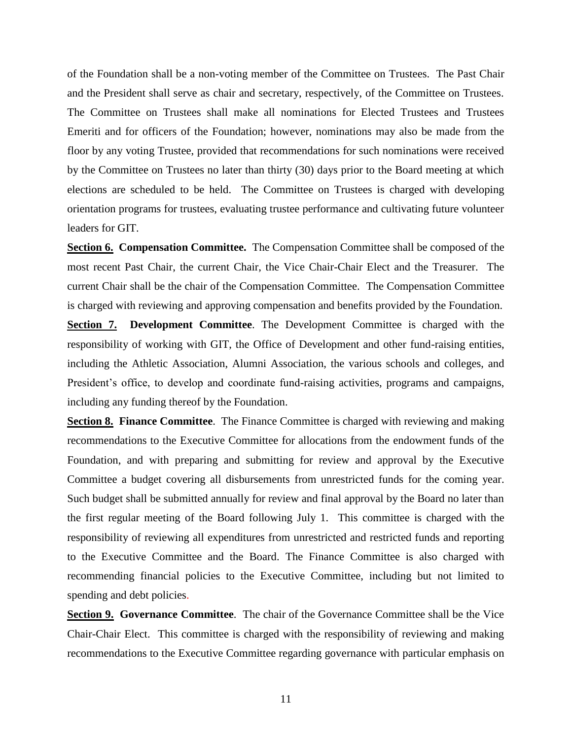of the Foundation shall be a non-voting member of the Committee on Trustees. The Past Chair and the President shall serve as chair and secretary, respectively, of the Committee on Trustees. The Committee on Trustees shall make all nominations for Elected Trustees and Trustees Emeriti and for officers of the Foundation; however, nominations may also be made from the floor by any voting Trustee, provided that recommendations for such nominations were received by the Committee on Trustees no later than thirty (30) days prior to the Board meeting at which elections are scheduled to be held. The Committee on Trustees is charged with developing orientation programs for trustees, evaluating trustee performance and cultivating future volunteer leaders for GIT.

**Section 6. Compensation Committee.** The Compensation Committee shall be composed of the most recent Past Chair, the current Chair, the Vice Chair-Chair Elect and the Treasurer. The current Chair shall be the chair of the Compensation Committee. The Compensation Committee is charged with reviewing and approving compensation and benefits provided by the Foundation.

**Section 7. Development Committee**. The Development Committee is charged with the responsibility of working with GIT, the Office of Development and other fund-raising entities, including the Athletic Association, Alumni Association, the various schools and colleges, and President's office, to develop and coordinate fund-raising activities, programs and campaigns, including any funding thereof by the Foundation.

**Section 8. Finance Committee**. The Finance Committee is charged with reviewing and making recommendations to the Executive Committee for allocations from the endowment funds of the Foundation, and with preparing and submitting for review and approval by the Executive Committee a budget covering all disbursements from unrestricted funds for the coming year. Such budget shall be submitted annually for review and final approval by the Board no later than the first regular meeting of the Board following July 1. This committee is charged with the responsibility of reviewing all expenditures from unrestricted and restricted funds and reporting to the Executive Committee and the Board. The Finance Committee is also charged with recommending financial policies to the Executive Committee, including but not limited to spending and debt policies.

**Section 9. Governance Committee**. The chair of the Governance Committee shall be the Vice Chair-Chair Elect. This committee is charged with the responsibility of reviewing and making recommendations to the Executive Committee regarding governance with particular emphasis on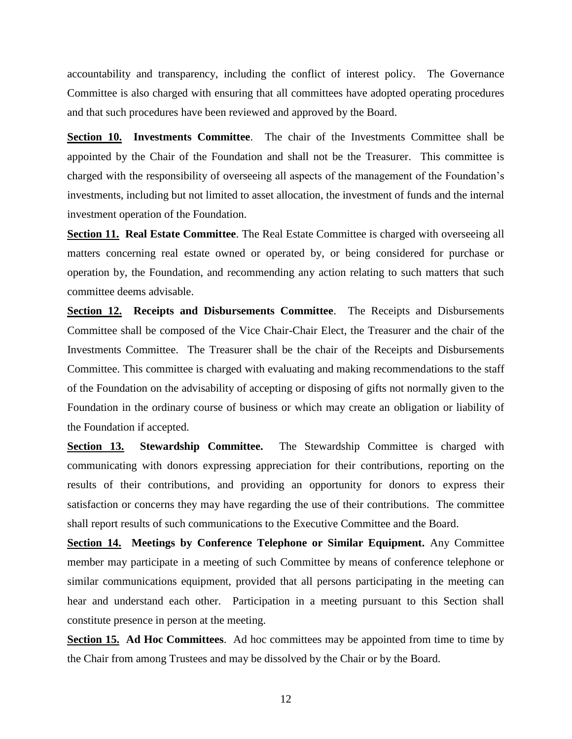accountability and transparency, including the conflict of interest policy. The Governance Committee is also charged with ensuring that all committees have adopted operating procedures and that such procedures have been reviewed and approved by the Board.

**Section 10. Investments Committee**. The chair of the Investments Committee shall be appointed by the Chair of the Foundation and shall not be the Treasurer. This committee is charged with the responsibility of overseeing all aspects of the management of the Foundation's investments, including but not limited to asset allocation, the investment of funds and the internal investment operation of the Foundation.

**Section 11. Real Estate Committee**. The Real Estate Committee is charged with overseeing all matters concerning real estate owned or operated by, or being considered for purchase or operation by, the Foundation, and recommending any action relating to such matters that such committee deems advisable.

**Section 12. Receipts and Disbursements Committee**. The Receipts and Disbursements Committee shall be composed of the Vice Chair-Chair Elect, the Treasurer and the chair of the Investments Committee. The Treasurer shall be the chair of the Receipts and Disbursements Committee. This committee is charged with evaluating and making recommendations to the staff of the Foundation on the advisability of accepting or disposing of gifts not normally given to the Foundation in the ordinary course of business or which may create an obligation or liability of the Foundation if accepted.

**Section 13. Stewardship Committee.** The Stewardship Committee is charged with communicating with donors expressing appreciation for their contributions, reporting on the results of their contributions, and providing an opportunity for donors to express their satisfaction or concerns they may have regarding the use of their contributions. The committee shall report results of such communications to the Executive Committee and the Board.

**Section 14. Meetings by Conference Telephone or Similar Equipment.** Any Committee member may participate in a meeting of such Committee by means of conference telephone or similar communications equipment, provided that all persons participating in the meeting can hear and understand each other. Participation in a meeting pursuant to this Section shall constitute presence in person at the meeting.

**Section 15. Ad Hoc Committees**. Ad hoc committees may be appointed from time to time by the Chair from among Trustees and may be dissolved by the Chair or by the Board.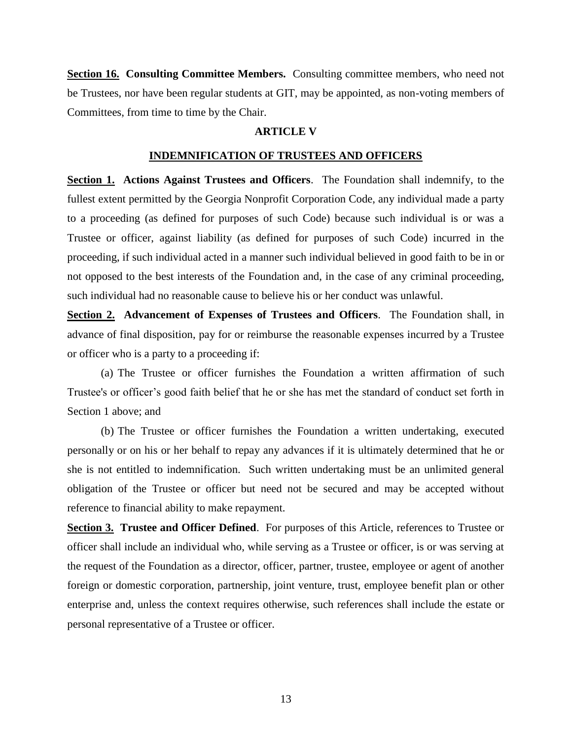**Section 16. Consulting Committee Members.** Consulting committee members, who need not be Trustees, nor have been regular students at GIT, may be appointed, as non-voting members of Committees, from time to time by the Chair.

#### **ARTICLE V**

# **INDEMNIFICATION OF TRUSTEES AND OFFICERS**

**Section 1. Actions Against Trustees and Officers**. The Foundation shall indemnify, to the fullest extent permitted by the Georgia Nonprofit Corporation Code, any individual made a party to a proceeding (as defined for purposes of such Code) because such individual is or was a Trustee or officer, against liability (as defined for purposes of such Code) incurred in the proceeding, if such individual acted in a manner such individual believed in good faith to be in or not opposed to the best interests of the Foundation and, in the case of any criminal proceeding, such individual had no reasonable cause to believe his or her conduct was unlawful.

**Section 2. Advancement of Expenses of Trustees and Officers**. The Foundation shall, in advance of final disposition, pay for or reimburse the reasonable expenses incurred by a Trustee or officer who is a party to a proceeding if:

(a) The Trustee or officer furnishes the Foundation a written affirmation of such Trustee's or officer's good faith belief that he or she has met the standard of conduct set forth in Section 1 above; and

(b) The Trustee or officer furnishes the Foundation a written undertaking, executed personally or on his or her behalf to repay any advances if it is ultimately determined that he or she is not entitled to indemnification. Such written undertaking must be an unlimited general obligation of the Trustee or officer but need not be secured and may be accepted without reference to financial ability to make repayment.

**Section 3. Trustee and Officer Defined**. For purposes of this Article, references to Trustee or officer shall include an individual who, while serving as a Trustee or officer, is or was serving at the request of the Foundation as a director, officer, partner, trustee, employee or agent of another foreign or domestic corporation, partnership, joint venture, trust, employee benefit plan or other enterprise and, unless the context requires otherwise, such references shall include the estate or personal representative of a Trustee or officer.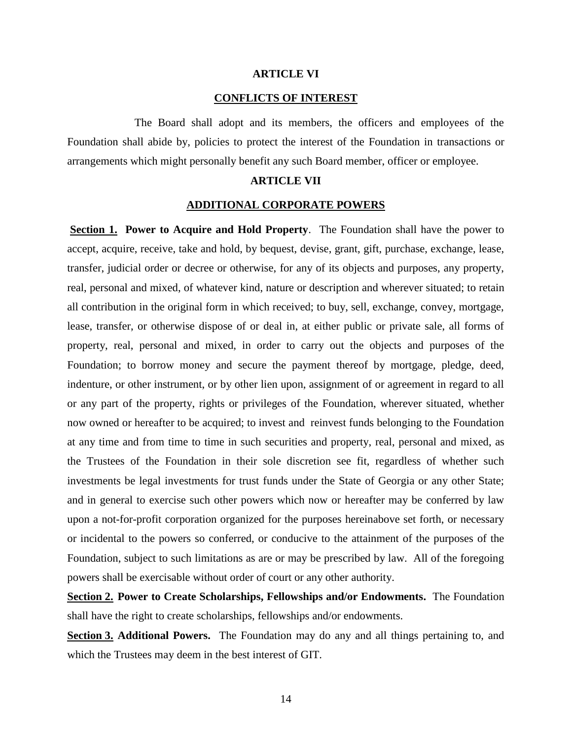# **ARTICLE VI**

# **CONFLICTS OF INTEREST**

The Board shall adopt and its members, the officers and employees of the Foundation shall abide by, policies to protect the interest of the Foundation in transactions or arrangements which might personally benefit any such Board member, officer or employee.

# **ARTICLE VII**

# **ADDITIONAL CORPORATE POWERS**

**Section 1. Power to Acquire and Hold Property**. The Foundation shall have the power to accept, acquire, receive, take and hold, by bequest, devise, grant, gift, purchase, exchange, lease, transfer, judicial order or decree or otherwise, for any of its objects and purposes, any property, real, personal and mixed, of whatever kind, nature or description and wherever situated; to retain all contribution in the original form in which received; to buy, sell, exchange, convey, mortgage, lease, transfer, or otherwise dispose of or deal in, at either public or private sale, all forms of property, real, personal and mixed, in order to carry out the objects and purposes of the Foundation; to borrow money and secure the payment thereof by mortgage, pledge, deed, indenture, or other instrument, or by other lien upon, assignment of or agreement in regard to all or any part of the property, rights or privileges of the Foundation, wherever situated, whether now owned or hereafter to be acquired; to invest and reinvest funds belonging to the Foundation at any time and from time to time in such securities and property, real, personal and mixed, as the Trustees of the Foundation in their sole discretion see fit, regardless of whether such investments be legal investments for trust funds under the State of Georgia or any other State; and in general to exercise such other powers which now or hereafter may be conferred by law upon a not-for-profit corporation organized for the purposes hereinabove set forth, or necessary or incidental to the powers so conferred, or conducive to the attainment of the purposes of the Foundation, subject to such limitations as are or may be prescribed by law. All of the foregoing powers shall be exercisable without order of court or any other authority.

**Section 2. Power to Create Scholarships, Fellowships and/or Endowments.** The Foundation shall have the right to create scholarships, fellowships and/or endowments.

**Section 3. Additional Powers.** The Foundation may do any and all things pertaining to, and which the Trustees may deem in the best interest of GIT.